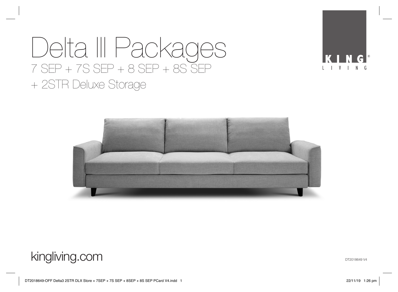# Delta III Packages 7 SEP + 7S SEP + 8 SEP + 8S SEP + 2STR Deluxe Storage



## kingliving.com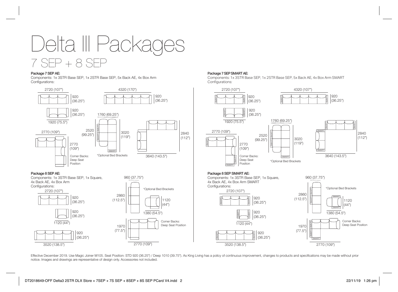Delta III Packages 7 SEP + 8 SEP

#### Package 7 SEP AE:

Components: 1x 3STR Base SEP, 1x 2STR Base SEP, 5x Back AE, 4x Box Arm Configurations:



#### Package 7 SEP SMART AE:

Components: 1x 3STR Base SEP, 1x 2STR Base SEP, 5x Back AE, 4x Box Arm SMART Configurations:



2770 (109")

Effective December 2019. Use Magic Joiner M105. Seat Position: STD 920 (36.25") / Deep 1010 (39.75"). As King Living has a policy of continuous improvement, changes to products and specifications may be made without prior notice. Images and drawings are representative of design only. Accessories not included.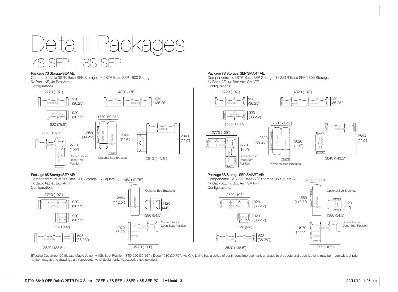

### Package 7S Storage SEP AE:

Components: 1x 3STR Base SEP Storage, 1x 2STR Base SEP 1600 Storage, 5x Back AE, 4x Box Arm Configurations:

> 920 (36.25")



1970 (77.5")

2770 (109")

3520 (138.5") 3520 (138.5")

#### Package 7S Storage SEP SMART AE:

Components: 1x 3STR Base SEP Storage, 1x 2STR Base SEP 1600 Storage, 5x Back AE, 4x Box Arm SMART Configurations:



Effective December 2019. Use Magic Joiner M105. Seat Position: STD 920 (36.25") / Deep 1010 (39.75"). As King Living has a policy of continuous improvement, changes to products and specifications may be made without prior notice. Images and drawings are representative of design only. Accessories not included.